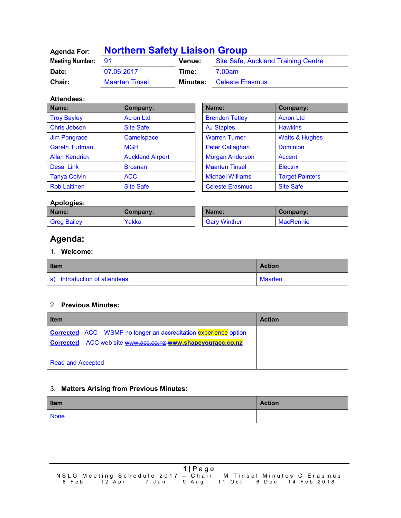| <b>Agenda For:</b>     | <b>Northern Safety Liaison Group</b> |               |                                     |
|------------------------|--------------------------------------|---------------|-------------------------------------|
| <b>Meeting Number:</b> | - 91                                 | <b>Venue:</b> | Site Safe, Auckland Training Centre |
| Date:                  | 07.06.2017                           | Time:         | 7.00am                              |
| <b>Chair:</b>          | <b>Maarten Tinsel</b>                | Minutes:      | <b>Celeste Erasmus</b>              |

#### Attendees:

| Name:                 | <b>Company:</b>         | Name:                   | Company:                  |
|-----------------------|-------------------------|-------------------------|---------------------------|
| <b>Troy Bayley</b>    | <b>Acron Ltd</b>        | <b>Brendon Tetley</b>   | <b>Acron Ltd</b>          |
| Chris Jobson          | <b>Site Safe</b>        | <b>AJ Staples</b>       | <b>Hawkins</b>            |
| <b>Jim Pongrace</b>   | Camelspace              | <b>Warren Turner</b>    | <b>Watts &amp; Hughes</b> |
| <b>Gareth Tudman</b>  | <b>MGH</b>              | <b>Peter Callaghan</b>  | <b>Dominion</b>           |
| <b>Allan Kendrick</b> | <b>Auckland Airport</b> | <b>Morgan Anderson</b>  | Accent                    |
| Desai Link            | <b>Brosnan</b>          | <b>Maarten Tinsel</b>   | <b>Electrix</b>           |
| <b>Tanya Colvin</b>   | <b>ACC</b>              | <b>Michael Williams</b> | <b>Target Painters</b>    |
| <b>Rob Laitinen</b>   | <b>Site Safe</b>        | <b>Celeste Erasmus</b>  | <b>Site Safe</b>          |

| Name:                   | Company:               |
|-------------------------|------------------------|
| <b>Brendon Tetley</b>   | <b>Acron Ltd</b>       |
| <b>AJ Staples</b>       | <b>Hawkins</b>         |
| <b>Warren Turner</b>    | Watts & Hughes         |
| Peter Callaghan         | <b>Dominion</b>        |
| <b>Morgan Anderson</b>  | Accent                 |
| <b>Maarten Tinsel</b>   | <b>Electrix</b>        |
| <b>Michael Williams</b> | <b>Target Painters</b> |
| <b>Celeste Erasmus</b>  | <b>Site Safe</b>       |

## Apologies:

| Name:              | Company: | Name:               | Company:  |
|--------------------|----------|---------------------|-----------|
| <b>Greg Bailey</b> | Yakka    | <b>Gary Winther</b> | MacRennie |

# Agenda:

### 1. Welcome:

| <b>Item</b>                  | <b>Action</b> |
|------------------------------|---------------|
| a) Introduction of attendees | Maarten       |

### 2. Previous Minutes:

| <b>Item</b>                                                         | <b>Action</b> |
|---------------------------------------------------------------------|---------------|
| Corrected - ACC - WSMP no longer an accreditation experience option |               |
| Corrected - ACC web site www.acc.co.nz www.shapeyouracc.co.nz       |               |
|                                                                     |               |
| <b>Read and Accepted</b>                                            |               |

### 3. Matters Arising from Previous Minutes:

| <b>Item</b> | <b>Action</b> |
|-------------|---------------|
| <b>None</b> |               |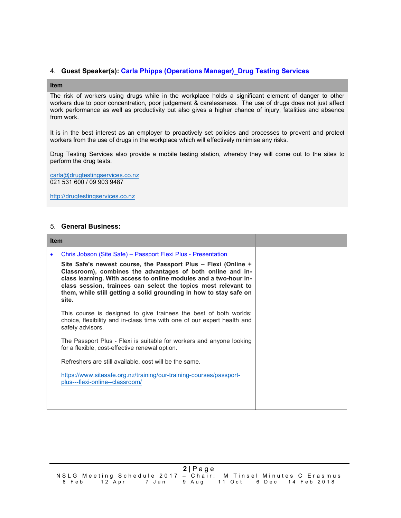#### 4. Guest Speaker(s): Carla Phipps (Operations Manager)\_Drug Testing Services

#### Item

The risk of workers using drugs while in the workplace holds a significant element of danger to other workers due to poor concentration, poor judgement & carelessness. The use of drugs does not just affect work performance as well as productivity but also gives a higher chance of injury, fatalities and absence from work.

It is in the best interest as an employer to proactively set policies and processes to prevent and protect workers from the use of drugs in the workplace which will effectively minimise any risks.

Drug Testing Services also provide a mobile testing station, whereby they will come out to the sites to perform the drug tests.

carla@drugtestingservices.co.nz 021 531 600 / 09 903 9487

http://drugtestingservices.co.nz

#### 5. General Business:

| <b>Item</b> |                                                                                                                                                                                                                                                                                                                                                                                                                    |  |
|-------------|--------------------------------------------------------------------------------------------------------------------------------------------------------------------------------------------------------------------------------------------------------------------------------------------------------------------------------------------------------------------------------------------------------------------|--|
|             | Chris Jobson (Site Safe) – Passport Flexi Plus - Presentation<br>Site Safe's newest course, the Passport Plus - Flexi (Online +<br>Classroom), combines the advantages of both online and in-<br>class learning. With access to online modules and a two-hour in-<br>class session, trainees can select the topics most relevant to<br>them, while still getting a solid grounding in how to stay safe on<br>site. |  |
|             | This course is designed to give trainees the best of both worlds:<br>choice, flexibility and in-class time with one of our expert health and<br>safety advisors.                                                                                                                                                                                                                                                   |  |
|             | The Passport Plus - Flexi is suitable for workers and anyone looking<br>for a flexible, cost-effective renewal option.                                                                                                                                                                                                                                                                                             |  |
|             | Refreshers are still available, cost will be the same.                                                                                                                                                                                                                                                                                                                                                             |  |
|             | https://www.sitesafe.org.nz/training/our-training-courses/passport-<br>plus---flexi-online--classroom/                                                                                                                                                                                                                                                                                                             |  |
|             |                                                                                                                                                                                                                                                                                                                                                                                                                    |  |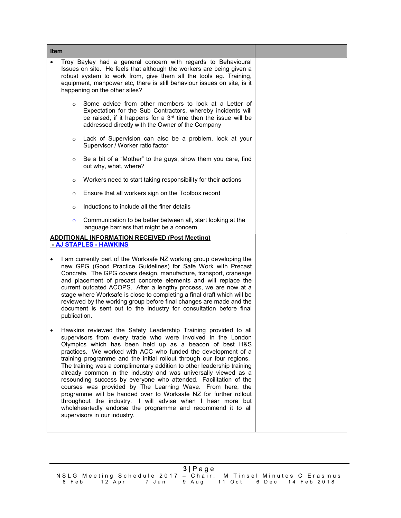| <b>Item</b>                                                                                                                                                                                                                                                                                                                                                                                                                                                                                                                                                                              |                                                                                                                                                                                                                                                                                                                                                                                                                                                                                                                                                                                                                                                                                                                                                                                                                                                     |  |  |
|------------------------------------------------------------------------------------------------------------------------------------------------------------------------------------------------------------------------------------------------------------------------------------------------------------------------------------------------------------------------------------------------------------------------------------------------------------------------------------------------------------------------------------------------------------------------------------------|-----------------------------------------------------------------------------------------------------------------------------------------------------------------------------------------------------------------------------------------------------------------------------------------------------------------------------------------------------------------------------------------------------------------------------------------------------------------------------------------------------------------------------------------------------------------------------------------------------------------------------------------------------------------------------------------------------------------------------------------------------------------------------------------------------------------------------------------------------|--|--|
|                                                                                                                                                                                                                                                                                                                                                                                                                                                                                                                                                                                          | Troy Bayley had a general concern with regards to Behavioural<br>Issues on site. He feels that although the workers are being given a<br>robust system to work from, give them all the tools eg. Training,<br>equipment, manpower etc, there is still behaviour issues on site, is it<br>happening on the other sites?                                                                                                                                                                                                                                                                                                                                                                                                                                                                                                                              |  |  |
|                                                                                                                                                                                                                                                                                                                                                                                                                                                                                                                                                                                          | Some advice from other members to look at a Letter of<br>$\circ$<br>Expectation for the Sub Contractors, whereby incidents will<br>be raised, if it happens for a 3 <sup>rd</sup> time then the issue will be<br>addressed directly with the Owner of the Company                                                                                                                                                                                                                                                                                                                                                                                                                                                                                                                                                                                   |  |  |
|                                                                                                                                                                                                                                                                                                                                                                                                                                                                                                                                                                                          | Lack of Supervision can also be a problem, look at your<br>$\circ$<br>Supervisor / Worker ratio factor                                                                                                                                                                                                                                                                                                                                                                                                                                                                                                                                                                                                                                                                                                                                              |  |  |
|                                                                                                                                                                                                                                                                                                                                                                                                                                                                                                                                                                                          | Be a bit of a "Mother" to the guys, show them you care, find<br>$\circ$<br>out why, what, where?                                                                                                                                                                                                                                                                                                                                                                                                                                                                                                                                                                                                                                                                                                                                                    |  |  |
|                                                                                                                                                                                                                                                                                                                                                                                                                                                                                                                                                                                          | Workers need to start taking responsibility for their actions<br>$\circ$                                                                                                                                                                                                                                                                                                                                                                                                                                                                                                                                                                                                                                                                                                                                                                            |  |  |
|                                                                                                                                                                                                                                                                                                                                                                                                                                                                                                                                                                                          | Ensure that all workers sign on the Toolbox record<br>$\circ$                                                                                                                                                                                                                                                                                                                                                                                                                                                                                                                                                                                                                                                                                                                                                                                       |  |  |
|                                                                                                                                                                                                                                                                                                                                                                                                                                                                                                                                                                                          | Inductions to include all the finer details<br>$\circ$                                                                                                                                                                                                                                                                                                                                                                                                                                                                                                                                                                                                                                                                                                                                                                                              |  |  |
|                                                                                                                                                                                                                                                                                                                                                                                                                                                                                                                                                                                          | Communication to be better between all, start looking at the<br>$\circ$<br>language barriers that might be a concern                                                                                                                                                                                                                                                                                                                                                                                                                                                                                                                                                                                                                                                                                                                                |  |  |
|                                                                                                                                                                                                                                                                                                                                                                                                                                                                                                                                                                                          | <b>ADDITIONAL INFORMATION RECEIVED (Post Meeting)</b><br><b>AJ STAPLES - HAWKINS</b>                                                                                                                                                                                                                                                                                                                                                                                                                                                                                                                                                                                                                                                                                                                                                                |  |  |
| I am currently part of the Worksafe NZ working group developing the<br>new GPG (Good Practice Guidelines) for Safe Work with Precast<br>Concrete. The GPG covers design, manufacture, transport, craneage<br>and placement of precast concrete elements and will replace the<br>current outdated ACOPS. After a lengthy process, we are now at a<br>stage where Worksafe is close to completing a final draft which will be<br>reviewed by the working group before final changes are made and the<br>document is sent out to the industry for consultation before final<br>publication. |                                                                                                                                                                                                                                                                                                                                                                                                                                                                                                                                                                                                                                                                                                                                                                                                                                                     |  |  |
|                                                                                                                                                                                                                                                                                                                                                                                                                                                                                                                                                                                          | Hawkins reviewed the Safety Leadership Training provided to all<br>supervisors from every trade who were involved in the London<br>Olympics which has been held up as a beacon of best H&S<br>practices. We worked with ACC who funded the development of a<br>training programme and the initial rollout through our four regions.<br>The training was a complimentary addition to other leadership training<br>already common in the industry and was universally viewed as a<br>resounding success by everyone who attended. Facilitation of the<br>courses was provided by The Learning Wave. From here, the<br>programme will be handed over to Worksafe NZ for further rollout<br>throughout the industry. I will advise when I hear more but<br>wholeheartedly endorse the programme and recommend it to all<br>supervisors in our industry. |  |  |